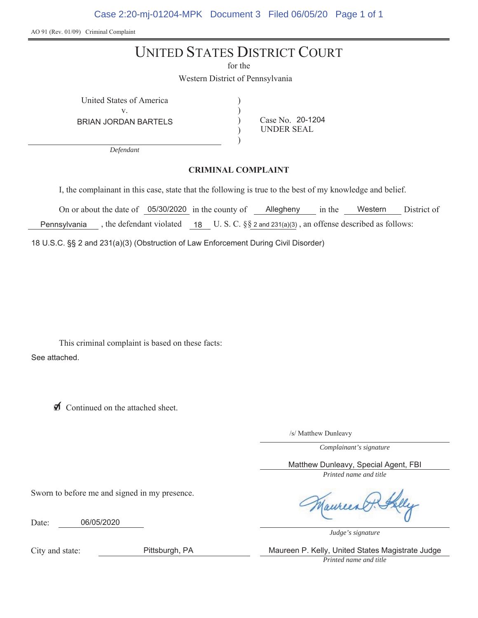Case 2:20-mj-01204-MPK Document 3 Filed 06/05/20 Page 1 of 1

AO 91 (Rev. 01/09) Criminal Complaint

# UNITED STATES DISTRICT COURT

for the

 $\mathcal{E}$  $\lambda$  $\mathcal{E}$  $\mathcal{E}$ 

Western District of Pennsylvania

United States of America (a)  $V_{\tau}$ 

BRIAN JORDAN BARTELS

Case No. 20-1204 UNDER SEAL

*Defendant*

#### **CRIMINAL COMPLAINT**

I, the complainant in this case, state that the following is true to the best of my knowledge and belief.

On or about the date of 05/30/2020 in the county of Allegheny in the Western District of Pennsylvania, the defendant violated 18 U.S.C.  $\S$  2 and 231(a)(3), an offense described as follows:

18 U.S.C. §§ 2 and 231(a)(3) (Obstruction of Law Enforcement During Civil Disorder)

This criminal complaint is based on these facts: See attached.

◯ Continued on the attached sheet.

Sworn to before me and signed in my presence.

06/05/2020

/s/ Matthew Dunleavy

*Complainant's signature*

*Printed name and title* Matthew Dunleavy, Special Agent, FBI

*Judge's signature*

City and state:

Date:

Pittsburgh, PA Maureen P. Kelly, United States Magistrate Judge

*Printed name and title*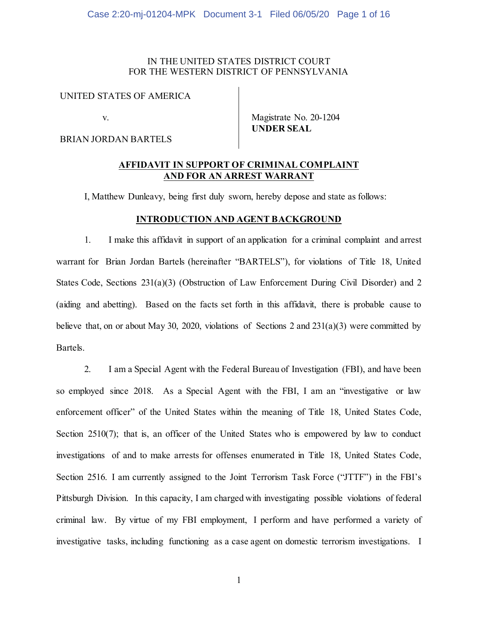# IN THE UNITED STATES DISTRICT COURT FOR THE WESTERN DISTRICT OF PENNSYLVANIA

### UNITED STATES OF AMERICA

v.

BRIAN JORDAN BARTELS

Magistrate No. 20-1204 **UNDER SEAL**

# **AFFIDAVIT IN SUPPORT OF CRIMINAL COMPLAINT AND FOR AN ARREST WARRANT**

I, Matthew Dunleavy, being first duly sworn, hereby depose and state as follows:

## **INTRODUCTION AND AGENT BACKGROUND**

1. I make this affidavit in support of an application for a criminal complaint and arrest warrant for Brian Jordan Bartels (hereinafter "BARTELS"), for violations of Title 18, United States Code, Sections 231(a)(3) (Obstruction of Law Enforcement During Civil Disorder) and 2 (aiding and abetting). Based on the facts set forth in this affidavit, there is probable cause to believe that, on or about May 30, 2020, violations of Sections 2 and 231(a)(3) were committed by Bartels.

2. I am a Special Agent with the Federal Bureau of Investigation (FBI), and have been so employed since 2018. As a Special Agent with the FBI, I am an "investigative or law enforcement officer" of the United States within the meaning of Title 18, United States Code, Section 2510(7); that is, an officer of the United States who is empowered by law to conduct investigations of and to make arrests for offenses enumerated in Title 18, United States Code, Section 2516. I am currently assigned to the Joint Terrorism Task Force ("JTTF") in the FBI's Pittsburgh Division. In this capacity, I am charged with investigating possible violations of federal criminal law. By virtue of my FBI employment, I perform and have performed a variety of investigative tasks, including functioning as a case agent on domestic terrorism investigations. I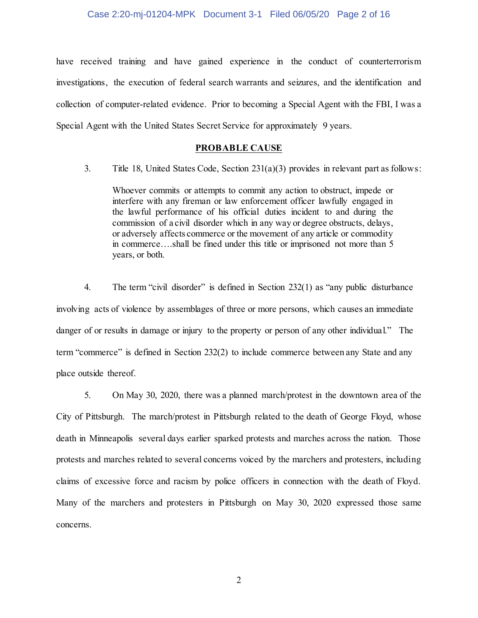have received training and have gained experience in the conduct of counterterrorism investigations, the execution of federal search warrants and seizures, and the identification and collection of computer-related evidence. Prior to becoming a Special Agent with the FBI, I was a Special Agent with the United States Secret Service for approximately 9 years.

# **PROBABLE CAUSE**

3. Title 18, United States Code, Section 231(a)(3) provides in relevant part as follows:

Whoever commits or attempts to commit any action to obstruct, impede or interfere with any fireman or law enforcement officer lawfully engaged in the lawful performance of his official duties incident to and during the commission of a civil disorder which in any way or degree obstructs, delays, or adversely affects commerce or the movement of any article or commodity in commerce….shall be fined under this title or imprisoned not more than 5 years, or both.

4. The term "civil disorder" is defined in Section 232(1) as "any public disturbance involving acts of violence by assemblages of three or more persons, which causes an immediate danger of or results in damage or injury to the property or person of any other individual." The term "commerce" is defined in Section 232(2) to include commerce between any State and any place outside thereof.

5. On May 30, 2020, there was a planned march/protest in the downtown area of the City of Pittsburgh. The march/protest in Pittsburgh related to the death of George Floyd, whose death in Minneapolis several days earlier sparked protests and marches across the nation. Those protests and marches related to several concerns voiced by the marchers and protesters, including claims of excessive force and racism by police officers in connection with the death of Floyd. Many of the marchers and protesters in Pittsburgh on May 30, 2020 expressed those same concerns.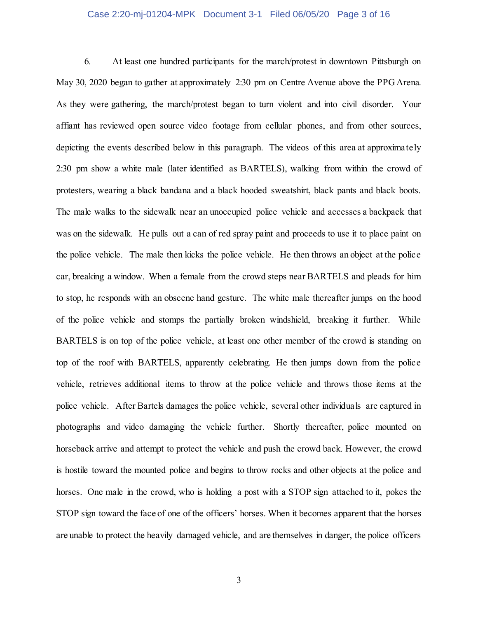#### Case 2:20-mj-01204-MPK Document 3-1 Filed 06/05/20 Page 3 of 16

6. At least one hundred participants for the march/protest in downtown Pittsburgh on May 30, 2020 began to gather at approximately 2:30 pm on Centre Avenue above the PPG Arena. As they were gathering, the march/protest began to turn violent and into civil disorder. Your affiant has reviewed open source video footage from cellular phones, and from other sources, depicting the events described below in this paragraph. The videos of this area at approximately 2:30 pm show a white male (later identified as BARTELS), walking from within the crowd of protesters, wearing a black bandana and a black hooded sweatshirt, black pants and black boots. The male walks to the sidewalk near an unoccupied police vehicle and accesses a backpack that was on the sidewalk. He pulls out a can of red spray paint and proceeds to use it to place paint on the police vehicle. The male then kicks the police vehicle. He then throws an object at the police car, breaking a window. When a female from the crowd steps near BARTELS and pleads for him to stop, he responds with an obscene hand gesture. The white male thereafter jumps on the hood of the police vehicle and stomps the partially broken windshield, breaking it further. While BARTELS is on top of the police vehicle, at least one other member of the crowd is standing on top of the roof with BARTELS, apparently celebrating. He then jumps down from the police vehicle, retrieves additional items to throw at the police vehicle and throws those items at the police vehicle. After Bartels damages the police vehicle, several other individuals are captured in photographs and video damaging the vehicle further. Shortly thereafter, police mounted on horseback arrive and attempt to protect the vehicle and push the crowd back. However, the crowd is hostile toward the mounted police and begins to throw rocks and other objects at the police and horses. One male in the crowd, who is holding a post with a STOP sign attached to it, pokes the STOP sign toward the face of one of the officers' horses. When it becomes apparent that the horses are unable to protect the heavily damaged vehicle, and are themselves in danger, the police officers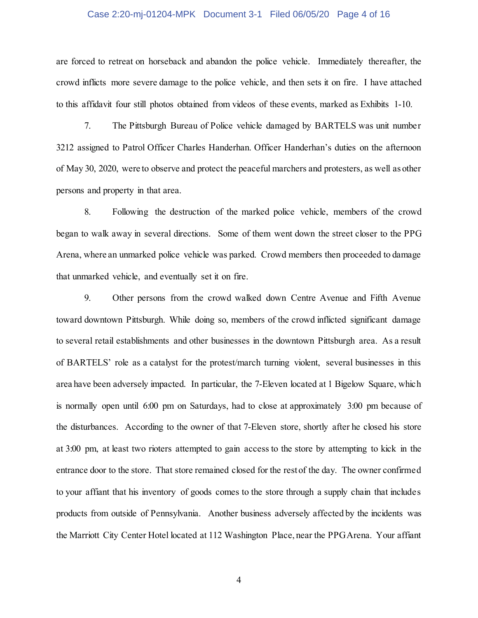#### Case 2:20-mj-01204-MPK Document 3-1 Filed 06/05/20 Page 4 of 16

are forced to retreat on horseback and abandon the police vehicle. Immediately thereafter, the crowd inflicts more severe damage to the police vehicle, and then sets it on fire. I have attached to this affidavit four still photos obtained from videos of these events, marked as Exhibits 1-10.

7. The Pittsburgh Bureau of Police vehicle damaged by BARTELS was unit number 3212 assigned to Patrol Officer Charles Handerhan. Officer Handerhan's duties on the afternoon of May 30, 2020, were to observe and protect the peaceful marchers and protesters, as well as other persons and property in that area.

8. Following the destruction of the marked police vehicle, members of the crowd began to walk away in several directions. Some of them went down the street closer to the PPG Arena, where an unmarked police vehicle was parked. Crowd members then proceeded to damage that unmarked vehicle, and eventually set it on fire.

9. Other persons from the crowd walked down Centre Avenue and Fifth Avenue toward downtown Pittsburgh. While doing so, members of the crowd inflicted significant damage to several retail establishments and other businesses in the downtown Pittsburgh area. As a result of BARTELS' role as a catalyst for the protest/march turning violent, several businesses in this area have been adversely impacted. In particular, the 7-Eleven located at 1 Bigelow Square, which is normally open until 6:00 pm on Saturdays, had to close at approximately 3:00 pm because of the disturbances. According to the owner of that 7-Eleven store, shortly after he closed his store at 3:00 pm, at least two rioters attempted to gain access to the store by attempting to kick in the entrance door to the store. That store remained closed for the rest of the day. The owner confirmed to your affiant that his inventory of goods comes to the store through a supply chain that includes products from outside of Pennsylvania. Another business adversely affected by the incidents was the Marriott City Center Hotel located at 112 Washington Place, near the PPG Arena. Your affiant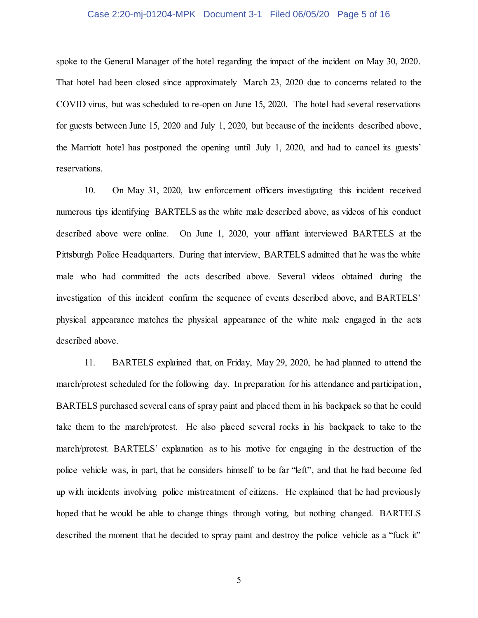#### Case 2:20-mj-01204-MPK Document 3-1 Filed 06/05/20 Page 5 of 16

spoke to the General Manager of the hotel regarding the impact of the incident on May 30, 2020. That hotel had been closed since approximately March 23, 2020 due to concerns related to the COVID virus, but was scheduled to re-open on June 15, 2020. The hotel had several reservations for guests between June 15, 2020 and July 1, 2020, but because of the incidents described above, the Marriott hotel has postponed the opening until July 1, 2020, and had to cancel its guests' reservations.

10. On May 31, 2020, law enforcement officers investigating this incident received numerous tips identifying BARTELS as the white male described above, as videos of his conduct described above were online. On June 1, 2020, your affiant interviewed BARTELS at the Pittsburgh Police Headquarters. During that interview, BARTELS admitted that he was the white male who had committed the acts described above. Several videos obtained during the investigation of this incident confirm the sequence of events described above, and BARTELS' physical appearance matches the physical appearance of the white male engaged in the acts described above.

11. BARTELS explained that, on Friday, May 29, 2020, he had planned to attend the march/protest scheduled for the following day. In preparation for his attendance and participation, BARTELS purchased several cans of spray paint and placed them in his backpack so that he could take them to the march/protest. He also placed several rocks in his backpack to take to the march/protest. BARTELS' explanation as to his motive for engaging in the destruction of the police vehicle was, in part, that he considers himself to be far "left", and that he had become fed up with incidents involving police mistreatment of citizens. He explained that he had previously hoped that he would be able to change things through voting, but nothing changed. BARTELS described the moment that he decided to spray paint and destroy the police vehicle as a "fuck it"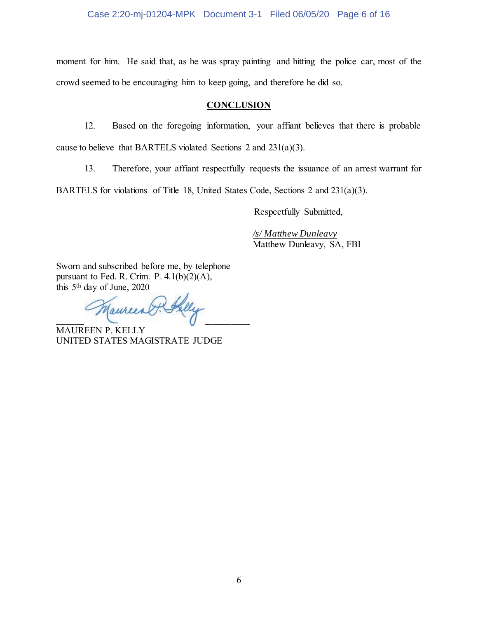Case 2:20-mj-01204-MPK Document 3-1 Filed 06/05/20 Page 6 of 16

moment for him. He said that, as he was spray painting and hitting the police car, most of the crowd seemed to be encouraging him to keep going, and therefore he did so.

# **CONCLUSION**

12. Based on the foregoing information, your affiant believes that there is probable cause to believe that BARTELS violated Sections 2 and 231(a)(3).

13. Therefore, your affiant respectfully requests the issuance of an arrest warrant for

BARTELS for violations of Title 18, United States Code, Sections 2 and 231(a)(3).

Respectfully Submitted,

*/s/ Matthew Dunleavy* Matthew Dunleavy, SA, FBI

Sworn and subscribed before me, by telephone pursuant to Fed. R. Crim. P. 4.1(b)(2)(A), this  $5<sup>th</sup>$  day of June, 2020

Taureent  $\Box$  $\overline{a}$ 

MAUREEN P. KELLY UNITED STATES MAGISTRATE JUDGE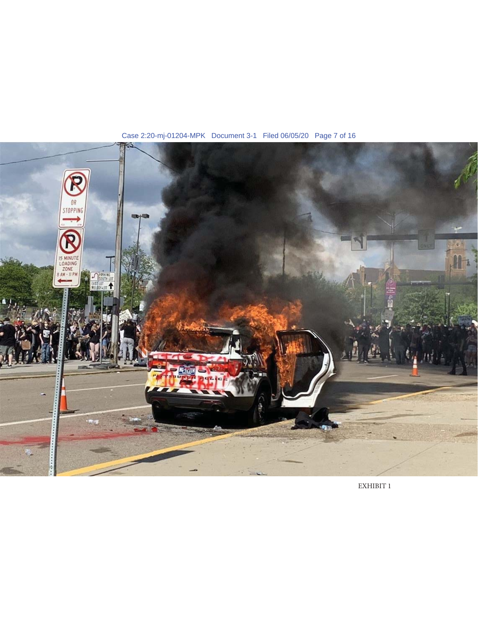

Case 2:20-mj-01204-MPK Document 3-1 Filed 06/05/20 Page 7 of 16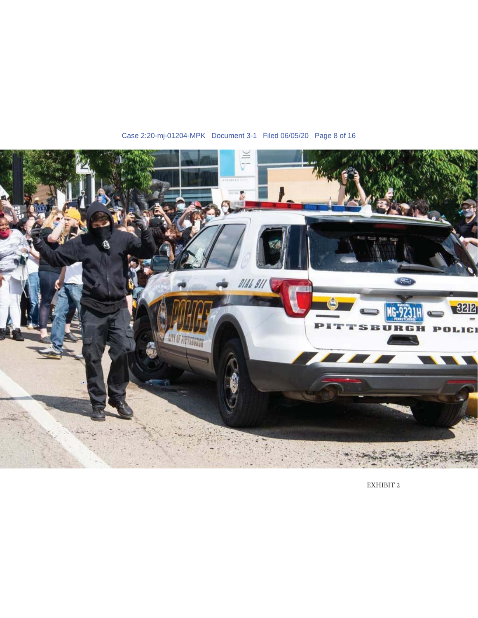

Case 2:20-mj-01204-MPK Document 3-1 Filed 06/05/20 Page 8 of 16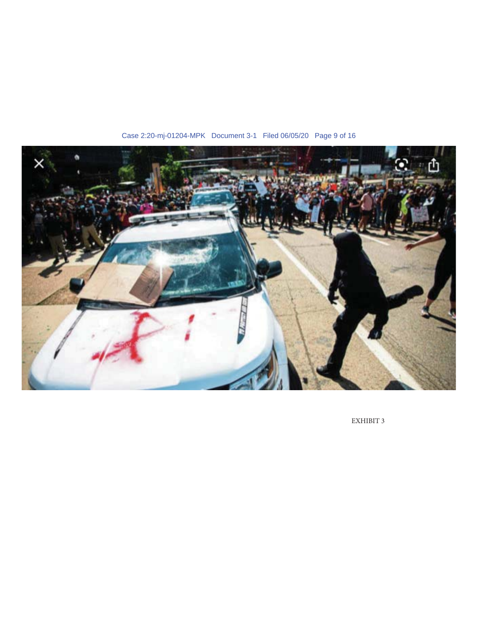

Case 2:20-mj-01204-MPK Document 3-1 Filed 06/05/20 Page 9 of 16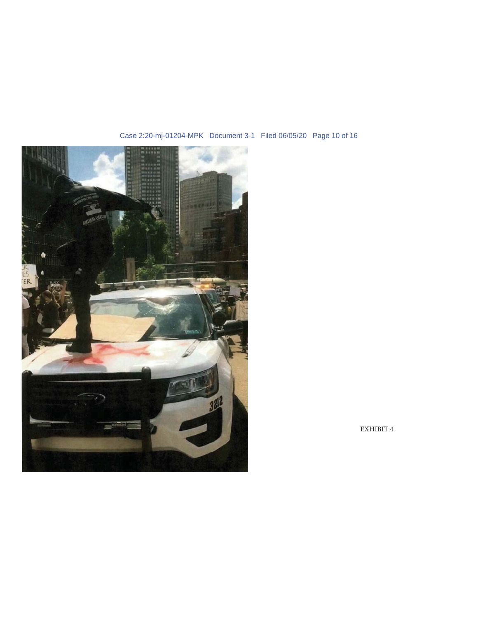

# Case 2:20-mj-01204-MPK Document 3-1 Filed 06/05/20 Page 10 of 16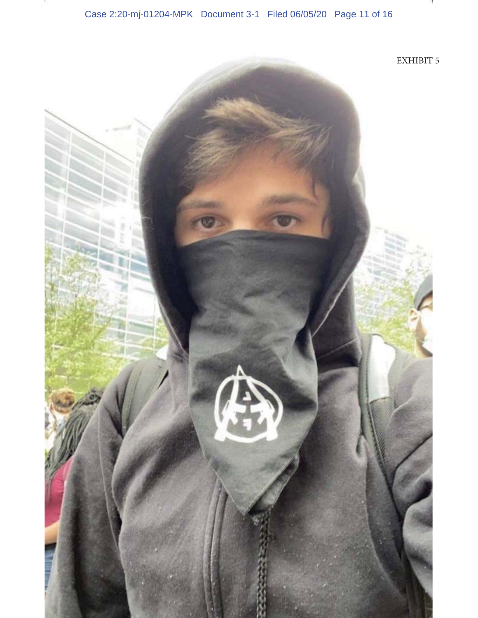Case 2:20-mj-01204-MPK Document 3-1 Filed 06/05/20 Page 11 of 16

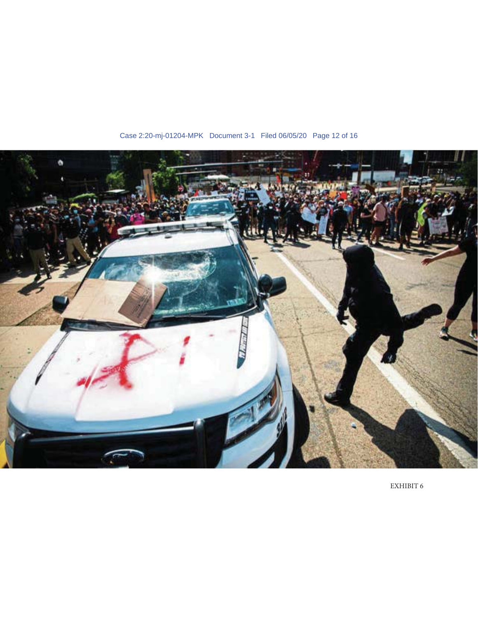

Case 2:20-mj-01204-MPK Document 3-1 Filed 06/05/20 Page 12 of 16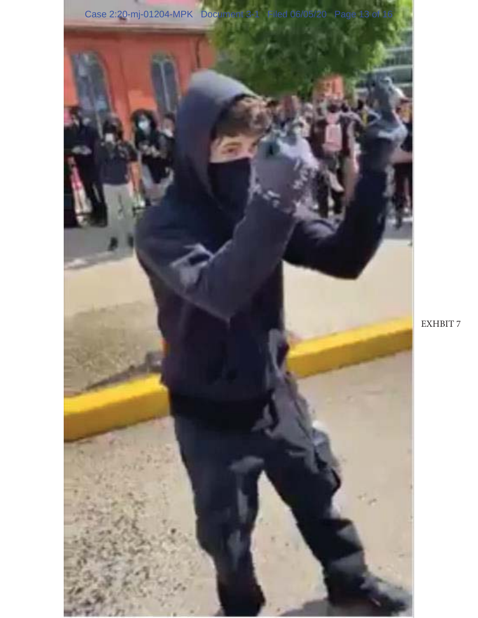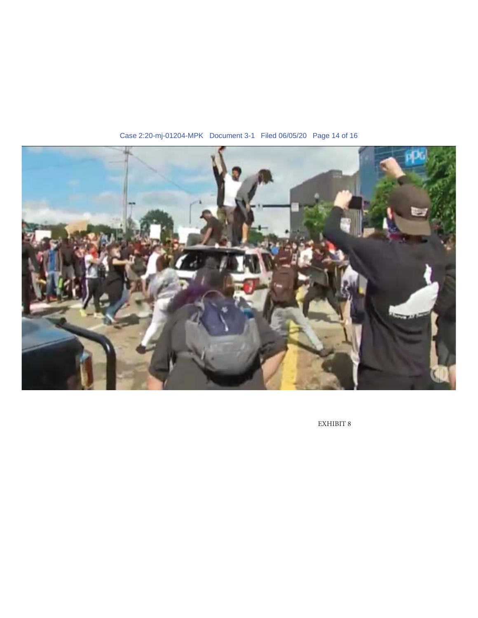

Case 2:20-mj-01204-MPK Document 3-1 Filed 06/05/20 Page 14 of 16

 $\sqrt{2}$  EXHIBIT 8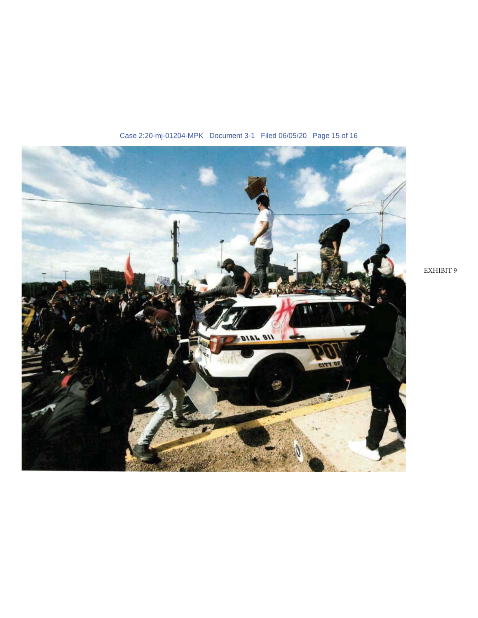

Case 2:20-mj-01204-MPK Document 3-1 Filed 06/05/20 Page 15 of 16